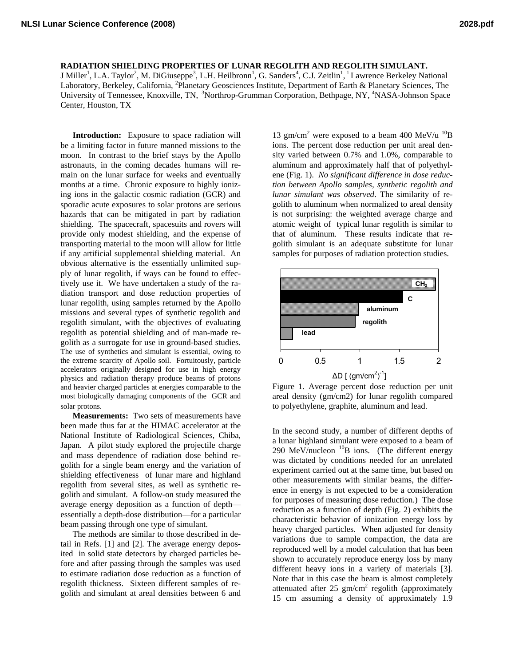**RADIATION SHIELDING PROPERTIES OF LUNAR REGOLITH AND REGOLITH SIMULANT.**

J Miller<sup>1</sup>, L.A. Taylor<sup>2</sup>, M. DiGiuseppe<sup>3</sup>, L.H. Heilbronn<sup>1</sup>, G. Sanders<sup>4</sup>, C.J. Zeitlin<sup>1</sup>, <sup>1</sup> Lawrence Berkeley National Laboratory, Berkeley, California, <sup>2</sup>Planetary Geosciences Institute, Department of Earth & Planetary Sciences, The University of Tennessee, Knoxville, TN, <sup>3</sup>Northrop-Grumman Corporation, Bethpage, NY, <sup>4</sup>NASA-Johnson Space Center, Houston, TX

**Introduction:** Exposure to space radiation will be a limiting factor in future manned missions to the moon. In contrast to the brief stays by the Apollo astronauts, in the coming decades humans will remain on the lunar surface for weeks and eventually months at a time. Chronic exposure to highly ionizing ions in the galactic cosmic radiation (GCR) and sporadic acute exposures to solar protons are serious hazards that can be mitigated in part by radiation shielding. The spacecraft, spacesuits and rovers will provide only modest shielding, and the expense of transporting material to the moon will allow for little if any artificial supplemental shielding material. An obvious alternative is the essentially unlimited supply of lunar regolith, if ways can be found to effectively use it. We have undertaken a study of the radiation transport and dose reduction properties of lunar regolith, using samples returned by the Apollo missions and several types of synthetic regolith and regolith simulant, with the objectives of evaluating regolith as potential shielding and of man-made regolith as a surrogate for use in ground-based studies. The use of synthetics and simulant is essential, owing to the extreme scarcity of Apollo soil. Fortuitously, particle accelerators originally designed for use in high energy physics and radiation therapy produce beams of protons and heavier charged particles at energies comparable to the most biologically damaging components of the GCR and solar protons.

**Measurements:** Two sets of measurements have been made thus far at the HIMAC accelerator at the National Institute of Radiological Sciences, Chiba, Japan. A pilot study explored the projectile charge and mass dependence of radiation dose behind regolith for a single beam energy and the variation of shielding effectiveness of lunar mare and highland regolith from several sites, as well as synthetic regolith and simulant. A follow-on study measured the average energy deposition as a function of depth essentially a depth-dose distribution—for a particular beam passing through one type of simulant.

The methods are similar to those described in detail in Refs. [1] and [2]. The average energy deposited in solid state detectors by charged particles before and after passing through the samples was used to estimate radiation dose reduction as a function of regolith thickness. Sixteen different samples of regolith and simulant at areal densities between 6 and

13 gm/cm<sup>2</sup> were exposed to a beam 400 MeV/u  $^{10}B$ ions. The percent dose reduction per unit areal density varied between 0.7% and 1.0%, comparable to aluminum and approximately half that of polyethylene (Fig. 1). *No significant difference in dose reduction between Apollo samples, synthetic regolith and lunar simulant was observed*. The similarity of regolith to aluminum when normalized to areal density is not surprising: the weighted average charge and atomic weight of typical lunar regolith is similar to that of aluminum. These results indicate that regolith simulant is an adequate substitute for lunar samples for purposes of radiation protection studies.



Figure 1. Average percent dose reduction per unit areal density (gm/cm2) for lunar regolith compared to polyethylene, graphite, aluminum and lead.

In the second study, a number of different depths of a lunar highland simulant were exposed to a beam of 290 MeV/nucleon  $^{10}B$  ions. (The different energy was dictated by conditions needed for an unrelated experiment carried out at the same time, but based on other measurements with similar beams, the difference in energy is not expected to be a consideration for purposes of measuring dose reduction.) The dose reduction as a function of depth (Fig. 2) exhibits the characteristic behavior of ionization energy loss by heavy charged particles. When adjusted for density variations due to sample compaction, the data are reproduced well by a model calculation that has been shown to accurately reproduce energy loss by many different heavy ions in a variety of materials [3]. Note that in this case the beam is almost completely attenuated after 25  $\text{gm/cm}^2$  regolith (approximately 15 cm assuming a density of approximately 1.9